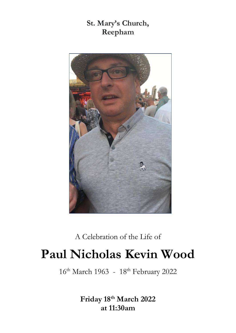# **St. Mary's Church, Reepham**



A Celebration of the Life of **Paul Nicholas Kevin Wood**

16<sup>th</sup> March 1963 - 18<sup>th</sup> February 2022

**Friday 18 th March 2022 at 11:30am**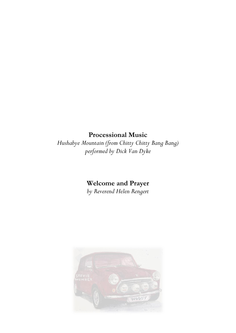## **Processional Music**

*Hushabye Mountain (from Chitty Chitty Bang Bang) performed by Dick Van Dyke*

## **Welcome and Prayer**

*by Reverend Helen Rengert*

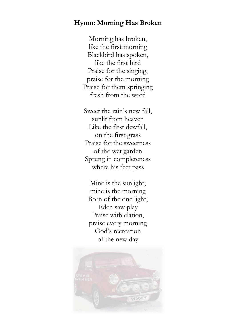#### **Hymn: Morning Has Broken**

Morning has broken, like the first morning Blackbird has spoken, like the first bird Praise for the singing, praise for the morning Praise for them springing fresh from the word

Sweet the rain's new fall, sunlit from heaven Like the first dewfall, on the first grass Praise for the sweetness of the wet garden Sprung in completeness where his feet pass

Mine is the sunlight, mine is the morning Born of the one light, Eden saw play Praise with elation, praise every morning God's recreation of the new day

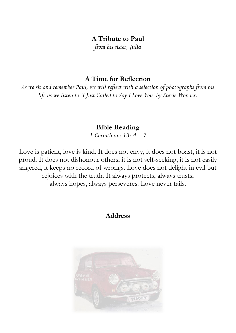#### **A Tribute to Paul**

*from his sister, Julia*

### **A Time for Reflection**

*As we sit and remember Paul, we will reflect with a selection of photographs from his life as we listen to 'I Just Called to Say I Love You' by Stevie Wonder.*

### **Bible Reading**

*1 Corinthians 13: 4 – 7*

Love is patient, love is kind. It does not envy, it does not boast, it is not proud. It does not dishonour others, it is not self-seeking, it is not easily angered, it keeps no record of wrongs. Love does not delight in evil but rejoices with the truth. It always protects, always trusts, always hopes, always perseveres. Love never fails.

#### **Address**

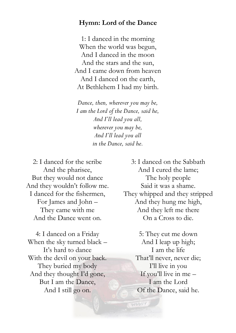## **Hymn: Lord of the Dance**

1: I danced in the morning When the world was begun, And I danced in the moon And the stars and the sun, And I came down from heaven And I danced on the earth, At Bethlehem I had my birth.

*Dance, then, wherever you may be, I am the Lord of the Dance, said he, And I'll lead you all, wherever you may be, And I'll lead you all in the Dance, said he.*

2: I danced for the scribe And the pharisee, But they would not dance And they wouldn't follow me. I danced for the fishermen, For James and John – They came with me And the Dance went on.

4: I danced on a Friday When the sky turned black – It's hard to dance With the devil on your back. They buried my body And they thought I'd gone, But I am the Dance, And I still go on.

3: I danced on the Sabbath And I cured the lame; The holy people Said it was a shame. They whipped and they stripped And they hung me high, And they left me there On a Cross to die.

> 5: They cut me down And I leap up high; I am the life That'll never, never die; I'll live in you If you'll live in me – I am the Lord Of the Dance, said he.

VVDOOY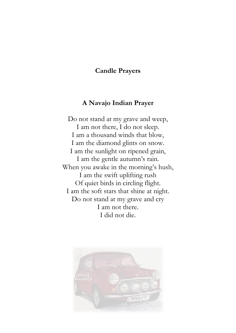#### **Candle Prayers**

### **A Navajo Indian Prayer**

Do not stand at my grave and weep, I am not there, I do not sleep. I am a thousand winds that blow, I am the diamond glints on snow. I am the sunlight on ripened grain, I am the gentle autumn's rain. When you awake in the morning's hush, I am the swift uplifting rush Of quiet birds in circling flight. I am the soft stars that shine at night. Do not stand at my grave and cry I am not there. I did not die.

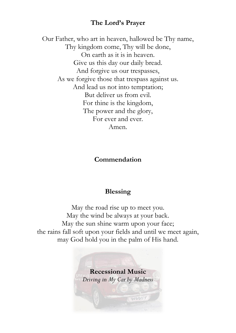## **The Lord's Prayer**

Our Father, who art in heaven, hallowed be Thy name, Thy kingdom come, Thy will be done, On earth as it is in heaven. Give us this day our daily bread. And forgive us our trespasses, As we forgive those that trespass against us. And lead us not into temptation; But deliver us from evil. For thine is the kingdom, The power and the glory, For ever and ever. Amen.

### **Commendation**

#### **Blessing**

May the road rise up to meet you. May the wind be always at your back. May the sun shine warm upon your face; the rains fall soft upon your fields and until we meet again, may God hold you in the palm of His hand.

> **Recessional Music** *Driving in My Car by Madness*

> > WOODY